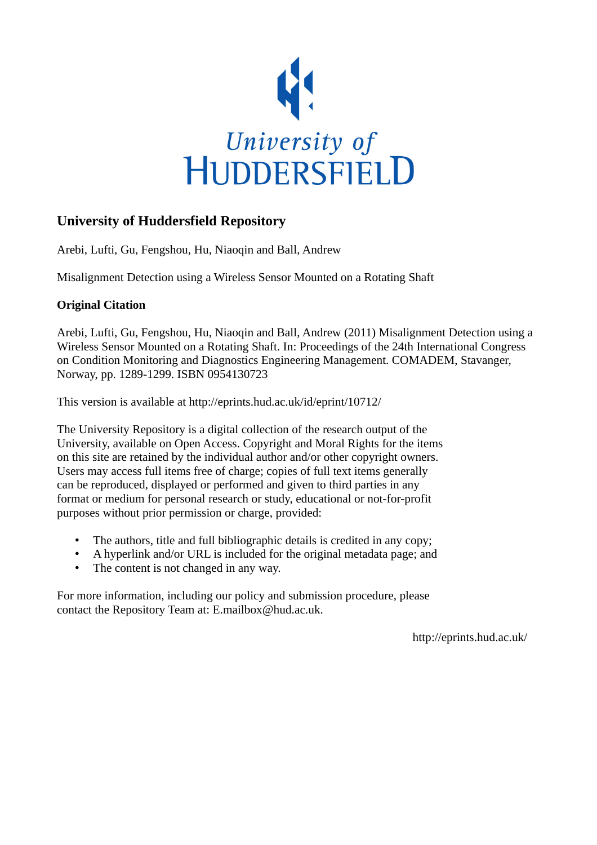

# **University of Huddersfield Repository**

Arebi, Lufti, Gu, Fengshou, Hu, Niaoqin and Ball, Andrew

Misalignment Detection using a Wireless Sensor Mounted on a Rotating Shaft

### **Original Citation**

Arebi, Lufti, Gu, Fengshou, Hu, Niaoqin and Ball, Andrew (2011) Misalignment Detection using a Wireless Sensor Mounted on a Rotating Shaft. In: Proceedings of the 24th International Congress on Condition Monitoring and Diagnostics Engineering Management. COMADEM, Stavanger, Norway, pp. 1289-1299. ISBN 0954130723

This version is available at http://eprints.hud.ac.uk/id/eprint/10712/

The University Repository is a digital collection of the research output of the University, available on Open Access. Copyright and Moral Rights for the items on this site are retained by the individual author and/or other copyright owners. Users may access full items free of charge; copies of full text items generally can be reproduced, displayed or performed and given to third parties in any format or medium for personal research or study, educational or not-for-profit purposes without prior permission or charge, provided:

- The authors, title and full bibliographic details is credited in any copy;
- A hyperlink and/or URL is included for the original metadata page; and
- The content is not changed in any way.

For more information, including our policy and submission procedure, please contact the Repository Team at: E.mailbox@hud.ac.uk.

http://eprints.hud.ac.uk/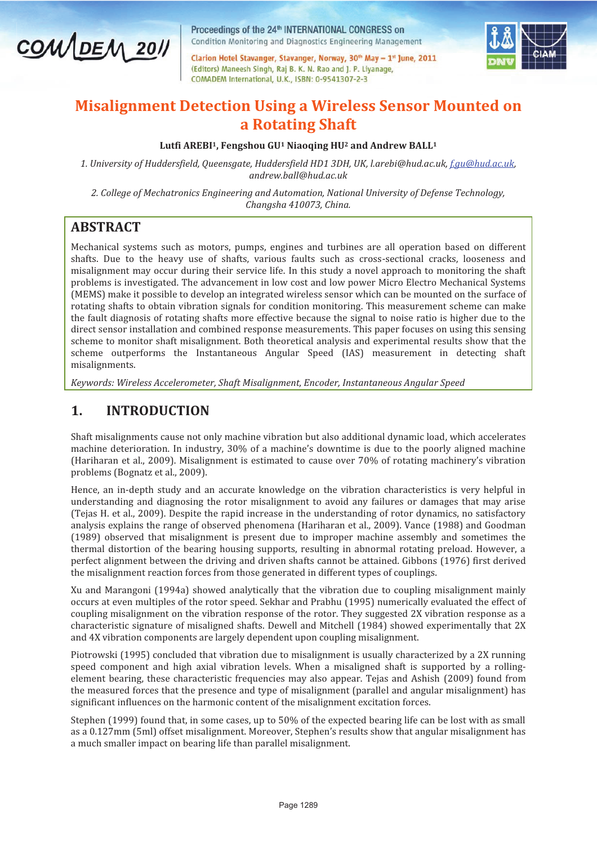

Proceedings of the 24<sup>th</sup> INTERNATIONAL CONGRESS on Condition Monitoring and Diagnostics Engineering Management

Clarion Hotel Stavanger, Stavanger, Norway, 30<sup>th</sup> May - 1<sup>st</sup> June, 2011 (Editors) Maneesh Singh, Raj B. K. N. Rao and J. P. Liyanage, COMADEM International, U.K., ISBN: 0-9541307-2-3



# **Misalignment Detection Using a Wireless Sensor Mounted on a Rotating Shaft**

#### **Lutfi AREBI1, Fengshou GU1 Niaoqing HU2 and Andrew BALL<sup>1</sup>**

*1. University of Huddersfield, Queensgate, Huddersfield HD1 3DH, UK, l.arebi@hud.ac.uk, f.gu@hud.ac.uk, andrew.ball@hud.ac.uk* 

*2. College of Mechatronics Engineering and Automation, National University of Defense Technology, Changsha 410073, China.* 

# **ABSTRACT**

Mechanical systems such as motors, pumps, engines and turbines are all operation based on different shafts. Due to the heavy use of shafts, various faults such as cross-sectional cracks, looseness and misalignment may occur during their service life. In this study a novel approach to monitoring the shaft problems is investigated. The advancement in low cost and low power Micro Electro Mechanical Systems (MEMS) make it possible to develop an integrated wireless sensor which can be mounted on the surface of rotating shafts to obtain vibration signals for condition monitoring. This measurement scheme can make the fault diagnosis of rotating shafts more effective because the signal to noise ratio is higher due to the direct sensor installation and combined response measurements. This paper focuses on using this sensing scheme to monitor shaft misalignment. Both theoretical analysis and experimental results show that the scheme outperforms the Instantaneous Angular Speed (IAS) measurement in detecting shaft misalignments.

*Keywords: Wireless Accelerometer, Shaft Misalignment, Encoder, Instantaneous Angular Speed* 

### **1. INTRODUCTION**

Shaft misalignments cause not only machine vibration but also additional dynamic load, which accelerates machine deterioration. In industry, 30% of a machine's downtime is due to the poorly aligned machine (Hariharan et al., 2009). Misalignment is estimated to cause over  $70\%$  of rotating machinery's vibration problems (Bognatz et al., 2009).

Hence, an in-depth study and an accurate knowledge on the vibration characteristics is very helpful in understanding and diagnosing the rotor misalignment to avoid any failures or damages that may arise (Tejas H. et al., 2009). Despite the rapid increase in the understanding of rotor dynamics, no satisfactory analysis explains the range of observed phenomena (Hariharan et al., 2009). Vance (1988) and Goodman (1989) observed that misalignment is present due to improper machine assembly and sometimes the thermal distortion of the bearing housing supports, resulting in abnormal rotating preload. However, a perfect alignment between the driving and driven shafts cannot be attained. Gibbons (1976) first derived the misalignment reaction forces from those generated in different types of couplings.

Xu and Marangoni (1994a) showed analytically that the vibration due to coupling misalignment mainly occurs at even multiples of the rotor speed. Sekhar and Prabhu (1995) numerically evaluated the effect of coupling misalignment on the vibration response of the rotor. They suggested 2X vibration response as a characteristic signature of misaligned shafts. Dewell and Mitchell (1984) showed experimentally that 2X and 4X vibration components are largely dependent upon coupling misalignment.

Piotrowski (1995) concluded that vibration due to misalignment is usually characterized by a 2X running speed component and high axial vibration levels. When a misaligned shaft is supported by a rollingelement bearing, these characteristic frequencies may also appear. Tejas and Ashish (2009) found from the measured forces that the presence and type of misalignment (parallel and angular misalignment) has significant influences on the harmonic content of the misalignment excitation forces.

Stephen (1999) found that, in some cases, up to 50% of the expected bearing life can be lost with as small as a 0.127mm (5ml) offset misalignment. Moreover, Stephenǯ results show that angular misalignment has a much smaller impact on bearing life than parallel misalignment.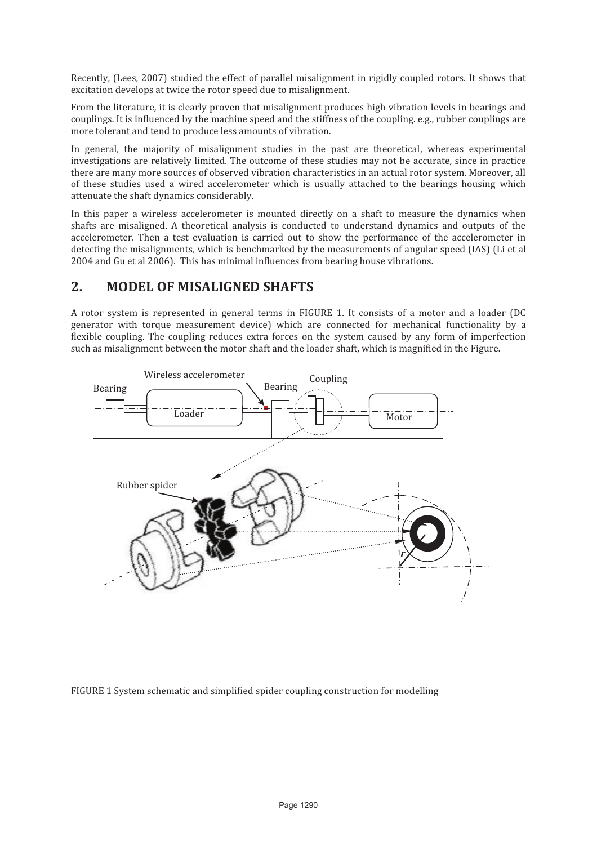Recently, (Lees, 2007) studied the effect of parallel misalignment in rigidly coupled rotors. It shows that excitation develops at twice the rotor speed due to misalignment.

From the literature, it is clearly proven that misalignment produces high vibration levels in bearings and couplings. It is influenced by the machine speed and the stiffness of the coupling. e.g., rubber couplings are more tolerant and tend to produce less amounts of vibration.

In general, the majority of misalignment studies in the past are theoretical, whereas experimental investigations are relatively limited. The outcome of these studies may not be accurate, since in practice there are many more sources of observed vibration characteristics in an actual rotor system. Moreover, all of these studies used a wired accelerometer which is usually attached to the bearings housing which attenuate the shaft dynamics considerably.

In this paper a wireless accelerometer is mounted directly on a shaft to measure the dynamics when shafts are misaligned. A theoretical analysis is conducted to understand dynamics and outputs of the accelerometer. Then a test evaluation is carried out to show the performance of the accelerometer in detecting the misalignments, which is benchmarked by the measurements of angular speed (IAS) (Li et al 2004 and Gu et al 2006). This has minimal influences from bearing house vibrations.

### **2. MODEL OF MISALIGNED SHAFTS**

A rotor system is represented in general terms in FIGURE 1. It consists of a motor and a loader (DC generator with torque measurement device) which are connected for mechanical functionality by a flexible coupling. The coupling reduces extra forces on the system caused by any form of imperfection such as misalignment between the motor shaft and the loader shaft, which is magnified in the Figure.



FIGURE 1 System schematic and simplified spider coupling construction for modelling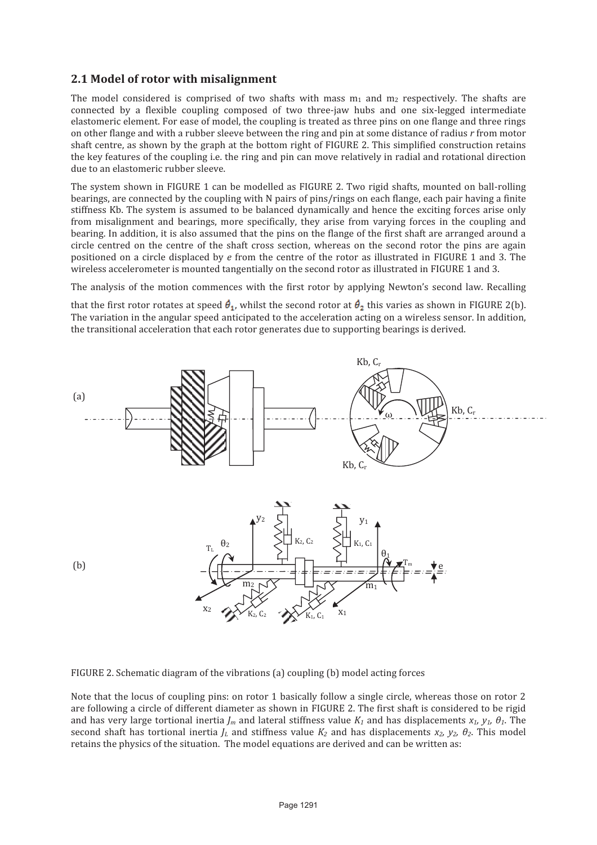#### **2.1 Model of rotor with misalignment**

The model considered is comprised of two shafts with mass  $m_1$  and  $m_2$  respectively. The shafts are connected by a flexible coupling composed of two three-jaw hubs and one six-legged intermediate elastomeric element. For ease of model, the coupling is treated as three pins on one flange and three rings on other flange and with a rubber sleeve between the ring and pin at some distance of radius *r* from motor shaft centre, as shown by the graph at the bottom right of FIGURE 2. This simplified construction retains the key features of the coupling i.e. the ring and pin can move relatively in radial and rotational direction due to an elastomeric rubber sleeve.

The system shown in FIGURE 1 can be modelled as FIGURE 2. Two rigid shafts, mounted on ball-rolling bearings, are connected by the coupling with N pairs of pins/rings on each flange, each pair having a finite stiffness Kb. The system is assumed to be balanced dynamically and hence the exciting forces arise only from misalignment and bearings, more specifically, they arise from varying forces in the coupling and bearing. In addition, it is also assumed that the pins on the flange of the first shaft are arranged around a circle centred on the centre of the shaft cross section, whereas on the second rotor the pins are again positioned on a circle displaced by *e* from the centre of the rotor as illustrated in FIGURE 1 and 3. The wireless accelerometer is mounted tangentially on the second rotor as illustrated in FIGURE 1 and 3.

The analysis of the motion commences with the first rotor by applying Newton's second law. Recalling

that the first rotor rotates at speed  $\theta_1$ , whilst the second rotor at  $\theta_2$  this varies as shown in FIGURE 2(b). The variation in the angular speed anticipated to the acceleration acting on a wireless sensor. In addition, the transitional acceleration that each rotor generates due to supporting bearings is derived.



FIGURE 2. Schematic diagram of the vibrations (a) coupling (b) model acting forces

Note that the locus of coupling pins: on rotor 1 basically follow a single circle, whereas those on rotor 2 are following a circle of different diameter as shown in FIGURE 2. The first shaft is considered to be rigid and has very large tortional inertia  $I_m$  and lateral stiffness value  $K_I$  and has displacements  $x_I$ ,  $y_I$ ,  $\theta_I$ . The second shaft has tortional inertia  $J<sub>L</sub>$  and stiffness value  $K<sub>2</sub>$  and has displacements  $x<sub>2</sub>$ ,  $y<sub>2</sub>$ ,  $\theta<sub>2</sub>$ . This model retains the physics of the situation. The model equations are derived and can be written as: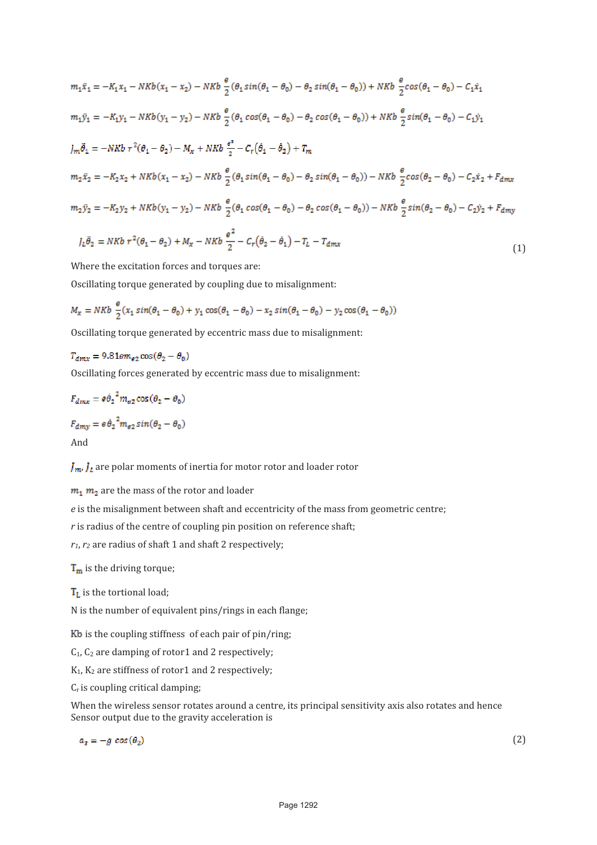$$
m_1 \ddot{x}_1 = -K_1 x_1 - N K b (x_1 - x_2) - N K b \frac{e}{2} (\theta_1 \sin(\theta_1 - \theta_0) - \theta_2 \sin(\theta_1 - \theta_0)) + N K b \frac{e}{2} \cos(\theta_1 - \theta_0) - C_1 \dot{x}_1
$$
  
\n
$$
m_1 \ddot{y}_1 = -K_1 y_1 - N K b (y_1 - y_2) - N K b \frac{e}{2} (\theta_1 \cos(\theta_1 - \theta_0) - \theta_2 \cos(\theta_1 - \theta_0)) + N K b \frac{e}{2} \sin(\theta_1 - \theta_0) - C_1 \dot{y}_1
$$
  
\n
$$
J_m \ddot{\theta}_1 = -N K b r^2 (\theta_1 - \theta_2) - M_x + N K b \frac{e^z}{2} - C_r (\dot{\theta}_1 - \dot{\theta}_2) + T_m
$$
  
\n
$$
m_2 \ddot{x}_2 = -K_2 x_2 + N K b (x_1 - x_2) - N K b \frac{e}{2} (\theta_1 \sin(\theta_1 - \theta_0) - \theta_2 \sin(\theta_1 - \theta_0)) - N K b \frac{e}{2} \cos(\theta_2 - \theta_0) - C_2 \dot{x}_2 + F_{dmx}
$$
  
\n
$$
m_2 \ddot{y}_2 = -K_2 y_2 + N K b (y_1 - y_2) - N K b \frac{e}{2} (\theta_1 \cos(\theta_1 - \theta_0) - \theta_2 \cos(\theta_1 - \theta_0)) - N K b \frac{e}{2} \sin(\theta_2 - \theta_0) - C_2 \dot{y}_2 + F_{dmy}
$$
  
\n
$$
J_L \ddot{\theta}_2 = N K b r^2 (\theta_1 - \theta_2) + M_x - N K b \frac{e^2}{2} - C_r (\dot{\theta}_2 - \dot{\theta}_1) - T_L - T_{dmx}
$$
\n(1)

Where the excitation forces and torques are:

Oscillating torque generated by coupling due to misalignment:

$$
M_x = NKb \frac{\theta}{2} (x_1 \sin(\theta_1 - \theta_0) + y_1 \cos(\theta_1 - \theta_0) - x_2 \sin(\theta_1 - \theta_0) - y_2 \cos(\theta_1 - \theta_0))
$$

Oscillating torque generated by eccentric mass due to misalignment:

$$
T_{dmx} = 9.81 \varepsilon m_{e2} \cos(\theta_2 - \theta_0)
$$

Oscillating forces generated by eccentric mass due to misalignment:

$$
F_{dmx} = e\dot{\theta}_2^2 m_{e2} \cos(\theta_2 - \theta_0)
$$
  

$$
F_{dmy} = e\dot{\theta}_2^2 m_{e2} \sin(\theta_2 - \theta_0)
$$
  
And

 $\int_{\mathbb{R}} \int_{\mathbb{R}}$  are polar moments of inertia for motor rotor and loader rotor

 $m_1$   $m_2$  are the mass of the rotor and loader

*e* is the misalignment between shaft and eccentricity of the mass from geometric centre;

*r* is radius of the centre of coupling pin position on reference shaft;

*r1*, *r2* are radius of shaft 1 and shaft 2 respectively;

 $T_m$  is the driving torque;

 $T_L$  is the tortional load;

N is the number of equivalent pins/rings in each flange;

 $Kb$  is the coupling stiffness of each pair of pin/ring;

 $C_1$ ,  $C_2$  are damping of rotor1 and 2 respectively;

K1, K2 are stiffness of rotor1 and 2 respectively;

Cr is coupling critical damping;

When the wireless sensor rotates around a centre, its principal sensitivity axis also rotates and hence Sensor output due to the gravity acceleration is

$$
a_s = -g \cos(\theta_2)
$$

 $(2)$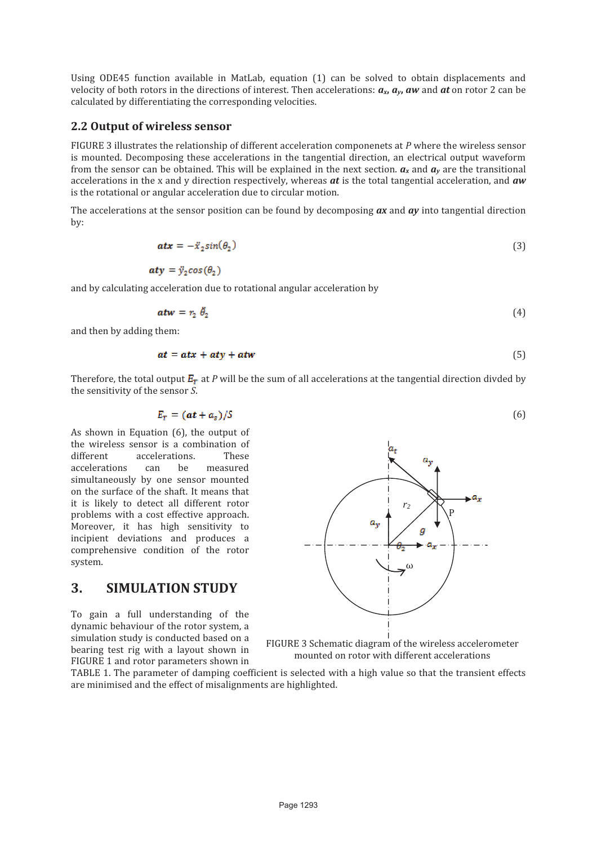Using ODE45 function available in MatLab, equation (1) can be solved to obtain displacements and velocity of both rotors in the directions of interest. Then accelerations:  $a_x$ ,  $a_y$ , aw and at on rotor 2 can be calculated by differentiating the corresponding velocities.

#### **2.2 Output of wireless sensor**

FIGURE 3 illustrates the relationship of different acceleration componenets at *P* where the wireless sensor is mounted. Decomposing these accelerations in the tangential direction, an electrical output waveform from the sensor can be obtained. This will be explained in the next section.  $a_x$  and  $a_y$  are the transitional accelerations in the x and y direction respectively, whereas *at* is the total tangential acceleration, and *aw* is the rotational or angular acceleration due to circular motion.

The accelerations at the sensor position can be found by decomposing *ax* and *ay* into tangential direction by:

$$
atx = -\ddot{x}_2 \sin(\theta_2) \tag{3}
$$

$$
aty = \ddot{y}_2 \cos(\theta_2)
$$

and by calculating acceleration due to rotational angular acceleration by

$$
atw = r_2 \ \dot{\theta}_2 \tag{4}
$$

and then by adding them:

$$
at = atx + aty + atw \tag{5}
$$

Therefore, the total output  $E_r$  at *P* will be the sum of all accelerations at the tangential direction divded by the sensitivity of the sensor *S*.

$$
E_T = (at + a_s)/S \tag{6}
$$

As shown in Equation (6), the output of the wireless sensor is a combination of different accelerations. These accelerations can be measured simultaneously by one sensor mounted on the surface of the shaft. It means that it is likely to detect all different rotor problems with a cost effective approach. Moreover, it has high sensitivity to incipient deviations and produces a comprehensive condition of the rotor system.

### **3. SIMULATION STUDY**

To gain a full understanding of the dynamic behaviour of the rotor system, a simulation study is conducted based on a bearing test rig with a layout shown in FIGURE 1 and rotor parameters shown in



FIGURE 3 Schematic diagram of the wireless accelerometer mounted on rotor with different accelerations

TABLE 1. The parameter of damping coefficient is selected with a high value so that the transient effects are minimised and the effect of misalignments are highlighted.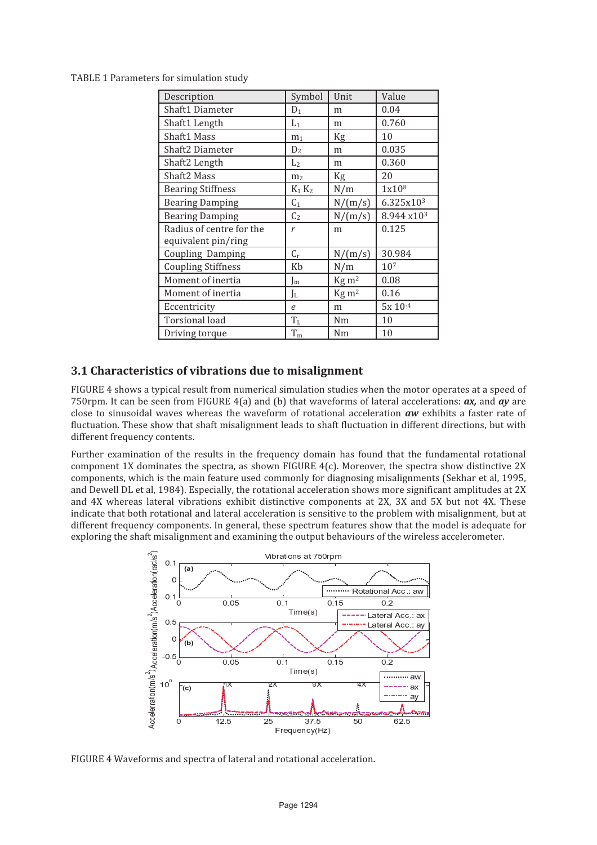TABLE 1 Parameters for simulation study

| Description               | Symbol         | Unit                      | Value                  |
|---------------------------|----------------|---------------------------|------------------------|
| Shaft1 Diameter           | $D_1$          | m                         | 0.04                   |
| Shaft1 Length             | $L_1$          | m                         | 0.760                  |
| Shaft1 Mass               | m <sub>1</sub> | Kg                        | 10                     |
| Shaft2 Diameter           | D <sub>2</sub> | m                         | 0.035                  |
| Shaft2 Length             | L <sub>2</sub> | m                         | 0.360                  |
| Shaft <sub>2</sub> Mass   | m <sub>2</sub> | Kg                        | 20                     |
| <b>Bearing Stiffness</b>  | $K_1 K_2$      | N/m                       | 1x10 <sup>8</sup>      |
| <b>Bearing Damping</b>    | $C_1$          | N/(m/s)                   | 6.325x10 <sup>3</sup>  |
| <b>Bearing Damping</b>    | C <sub>2</sub> | N/(m/s)                   | 8.944 x10 <sup>3</sup> |
| Radius of centre for the  | r              | m                         | 0.125                  |
| equivalent pin/ring       |                |                           |                        |
| Coupling Damping          | $C_r$          | N/(m/s)                   | 30.984                 |
| <b>Coupling Stiffness</b> | Kb             | N/m                       | 107                    |
| Moment of inertia         | J <sub>m</sub> | $\text{Kg} \, \text{m}^2$ | 0.08                   |
| Moment of inertia         | Jl             | $\text{Kg} \, \text{m}^2$ | 0.16                   |
| Eccentricity              | $\epsilon$     | m                         | $5x 10^{-4}$           |
| <b>Torsional load</b>     | $T_{L}$        | Nm                        | 10                     |
| Driving torque            | $T_{\rm m}$    | Nm                        | 10                     |

#### **3.1 Characteristics of vibrations due to misalignment**

FIGURE 4 shows a typical result from numerical simulation studies when the motor operates at a speed of 750rpm. It can be seen from FIGURE 4(a) and (b) that waveforms of lateral accelerations: *ax,* and *ay* are close to sinusoidal waves whereas the waveform of rotational acceleration *aw* exhibits a faster rate of fluctuation. These show that shaft misalignment leads to shaft fluctuation in different directions, but with different frequency contents.

Further examination of the results in the frequency domain has found that the fundamental rotational component 1X dominates the spectra, as shown FIGURE 4(c). Moreover, the spectra show distinctive 2X components, which is the main feature used commonly for diagnosing misalignments (Sekhar et al, 1995, and Dewell DL et al, 1984). Especially, the rotational acceleration shows more significant amplitudes at 2X and 4X whereas lateral vibrations exhibit distinctive components at 2X, 3X and 5X but not 4X. These indicate that both rotational and lateral acceleration is sensitive to the problem with misalignment, but at different frequency components. In general, these spectrum features show that the model is adequate for exploring the shaft misalignment and examining the output behaviours of the wireless accelerometer.



FIGURE 4 Waveforms and spectra of lateral and rotational acceleration.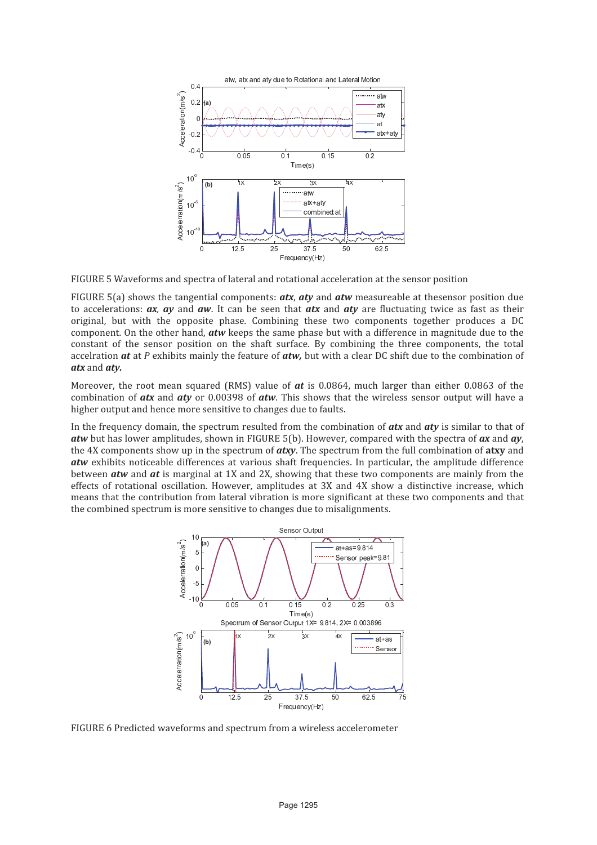

FIGURE 5 Waveforms and spectra of lateral and rotational acceleration at the sensor position

FIGURE 5(a) shows the tangential components: *atx*, *aty* and *atw* measureable at thesensor position due to accelerations: *ax, ay* and *aw*. It can be seen that *atx* and *aty* are fluctuating twice as fast as their original, but with the opposite phase. Combining these two components together produces a DC component. On the other hand, *atw* keeps the same phase but with a difference in magnitude due to the constant of the sensor position on the shaft surface. By combining the three components, the total accelration *at* at *P* exhibits mainly the feature of *atw,* but with a clear DC shift due to the combination of *atx* and *aty.* 

Moreover, the root mean squared (RMS) value of *at* is 0.0864, much larger than either 0.0863 of the combination of *atx* and *aty* or 0.00398 of *atw*. This shows that the wireless sensor output will have a higher output and hence more sensitive to changes due to faults.

In the frequency domain, the spectrum resulted from the combination of *atx* and *aty* is similar to that of *atw* but has lower amplitudes, shown in FIGURE 5(b). However, compared with the spectra of *ax* and *ay*, the 4X components show up in the spectrum of *atxy*. The spectrum from the full combination of **atxy** and *atw* exhibits noticeable differences at various shaft frequencies. In particular, the amplitude difference between *atw* and *at* is marginal at 1X and 2X, showing that these two components are mainly from the effects of rotational oscillation. However, amplitudes at 3X and 4X show a distinctive increase, which means that the contribution from lateral vibration is more significant at these two components and that the combined spectrum is more sensitive to changes due to misalignments.



FIGURE 6 Predicted waveforms and spectrum from a wireless accelerometer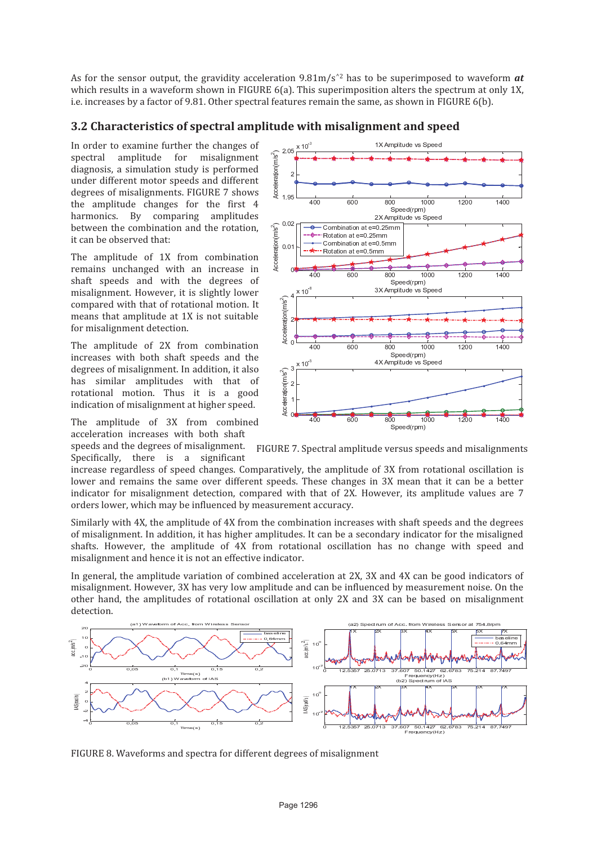As for the sensor output, the gravidity acceleration  $9.81 \text{m/s}^2$  has to be superimposed to waveform *at* which results in a waveform shown in FIGURE 6(a). This superimposition alters the spectrum at only 1X, i.e. increases by a factor of 9.81. Other spectral features remain the same, as shown in FIGURE 6(b).

#### **3.2 Characteristics of spectral amplitude with misalignment and speed**

In order to examine further the changes of spectral amplitude for misalignment diagnosis, a simulation study is performed under different motor speeds and different degrees of misalignments. FIGURE 7 shows the amplitude changes for the first 4 harmonics. By comparing amplitudes between the combination and the rotation, it can be observed that:

The amplitude of 1X from combination remains unchanged with an increase in shaft speeds and with the degrees of misalignment. However, it is slightly lower compared with that of rotational motion. It means that amplitude at 1X is not suitable for misalignment detection.

The amplitude of 2X from combination increases with both shaft speeds and the degrees of misalignment. In addition, it also has similar amplitudes with that of rotational motion. Thus it is a good indication of misalignment at higher speed.

The amplitude of 3X from combined acceleration increases with both shaft speeds and the degrees of misalignment.

Specifically, there is a significant

FIGURE 7. Spectral amplitude versus speeds and misalignments

increase regardless of speed changes. Comparatively, the amplitude of 3X from rotational oscillation is lower and remains the same over different speeds. These changes in 3X mean that it can be a better indicator for misalignment detection, compared with that of 2X. However, its amplitude values are 7 orders lower, which may be influenced by measurement accuracy.

Similarly with 4X, the amplitude of 4X from the combination increases with shaft speeds and the degrees of misalignment. In addition, it has higher amplitudes. It can be a secondary indicator for the misaligned shafts. However, the amplitude of 4X from rotational oscillation has no change with speed and misalignment and hence it is not an effective indicator.

In general, the amplitude variation of combined acceleration at 2X, 3X and 4X can be good indicators of misalignment. However, 3X has very low amplitude and can be influenced by measurement noise. On the other hand, the amplitudes of rotational oscillation at only 2X and 3X can be based on misalignment detection.



FIGURE 8. Waveforms and spectra for different degrees of misalignment

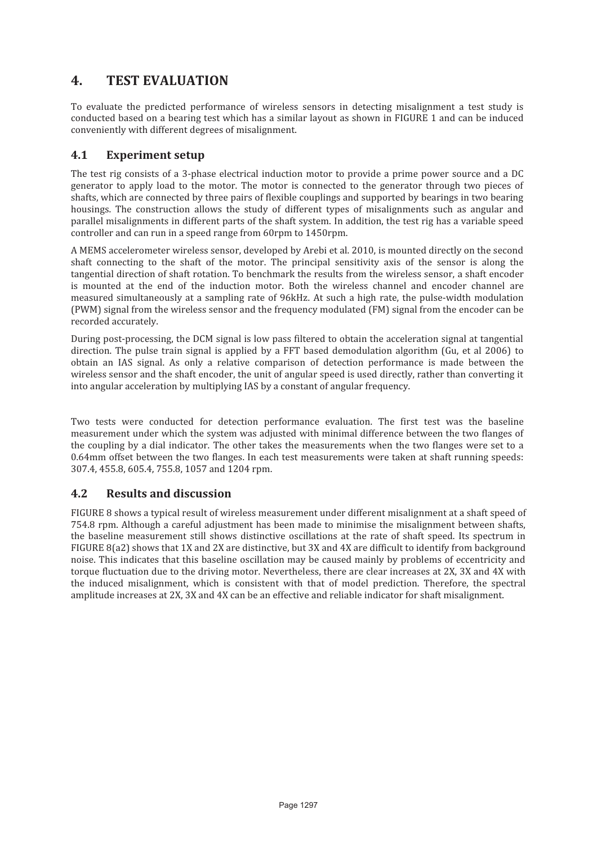# **4. TEST EVALUATION**

To evaluate the predicted performance of wireless sensors in detecting misalignment a test study is conducted based on a bearing test which has a similar layout as shown in FIGURE 1 and can be induced conveniently with different degrees of misalignment.

#### **4.1 Experiment setup**

The test rig consists of a 3-phase electrical induction motor to provide a prime power source and a DC generator to apply load to the motor. The motor is connected to the generator through two pieces of shafts, which are connected by three pairs of flexible couplings and supported by bearings in two bearing housings. The construction allows the study of different types of misalignments such as angular and parallel misalignments in different parts of the shaft system. In addition, the test rig has a variable speed controller and can run in a speed range from 60rpm to 1450rpm.

A MEMS accelerometer wireless sensor, developed by Arebi et al. 2010, is mounted directly on the second shaft connecting to the shaft of the motor. The principal sensitivity axis of the sensor is along the tangential direction of shaft rotation. To benchmark the results from the wireless sensor, a shaft encoder is mounted at the end of the induction motor. Both the wireless channel and encoder channel are measured simultaneously at a sampling rate of 96kHz. At such a high rate, the pulse-width modulation (PWM) signal from the wireless sensor and the frequency modulated (FM) signal from the encoder can be recorded accurately.

During post-processing, the DCM signal is low pass filtered to obtain the acceleration signal at tangential direction. The pulse train signal is applied by a FFT based demodulation algorithm (Gu, et al 2006) to obtain an IAS signal. As only a relative comparison of detection performance is made between the wireless sensor and the shaft encoder, the unit of angular speed is used directly, rather than converting it into angular acceleration by multiplying IAS by a constant of angular frequency.

Two tests were conducted for detection performance evaluation. The first test was the baseline measurement under which the system was adjusted with minimal difference between the two flanges of the coupling by a dial indicator. The other takes the measurements when the two flanges were set to a 0.64mm offset between the two flanges. In each test measurements were taken at shaft running speeds: 307.4, 455.8, 605.4, 755.8, 1057 and 1204 rpm.

### **4.2 Results and discussion**

FIGURE 8 shows a typical result of wireless measurement under different misalignment at a shaft speed of 754.8 rpm. Although a careful adjustment has been made to minimise the misalignment between shafts, the baseline measurement still shows distinctive oscillations at the rate of shaft speed. Its spectrum in FIGURE 8(a2) shows that 1X and 2X are distinctive, but 3X and 4X are difficult to identify from background noise. This indicates that this baseline oscillation may be caused mainly by problems of eccentricity and torque fluctuation due to the driving motor. Nevertheless, there are clear increases at 2X, 3X and 4X with the induced misalignment, which is consistent with that of model prediction. Therefore, the spectral amplitude increases at 2X, 3X and 4X can be an effective and reliable indicator for shaft misalignment.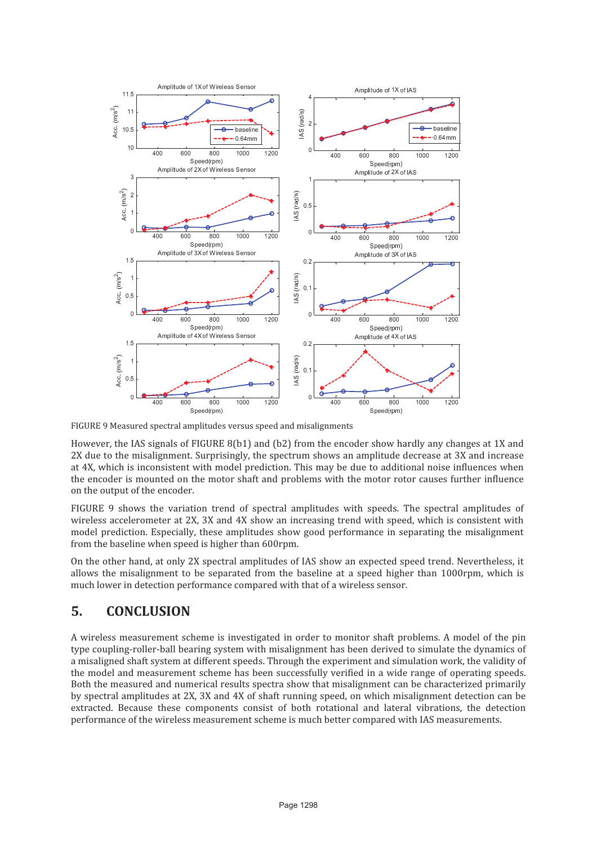

FIGURE 9 Measured spectral amplitudes versus speed and misalignments

However, the IAS signals of FIGURE 8(b1) and (b2) from the encoder show hardly any changes at 1X and 2X due to the misalignment. Surprisingly, the spectrum shows an amplitude decrease at 3X and increase at 4X, which is inconsistent with model prediction. This may be due to additional noise influences when the encoder is mounted on the motor shaft and problems with the motor rotor causes further influence on the output of the encoder.

FIGURE 9 shows the variation trend of spectral amplitudes with speeds. The spectral amplitudes of wireless accelerometer at 2X, 3X and 4X show an increasing trend with speed, which is consistent with model prediction. Especially, these amplitudes show good performance in separating the misalignment from the baseline when speed is higher than 600rpm.

On the other hand, at only 2X spectral amplitudes of IAS show an expected speed trend. Nevertheless, it allows the misalignment to be separated from the baseline at a speed higher than 1000rpm, which is much lower in detection performance compared with that of a wireless sensor.

# **5. CONCLUSION**

A wireless measurement scheme is investigated in order to monitor shaft problems. A model of the pin type coupling-roller-ball bearing system with misalignment has been derived to simulate the dynamics of a misaligned shaft system at different speeds. Through the experiment and simulation work, the validity of the model and measurement scheme has been successfully verified in a wide range of operating speeds. Both the measured and numerical results spectra show that misalignment can be characterized primarily by spectral amplitudes at 2X, 3X and 4X of shaft running speed, on which misalignment detection can be extracted. Because these components consist of both rotational and lateral vibrations, the detection performance of the wireless measurement scheme is much better compared with IAS measurements.